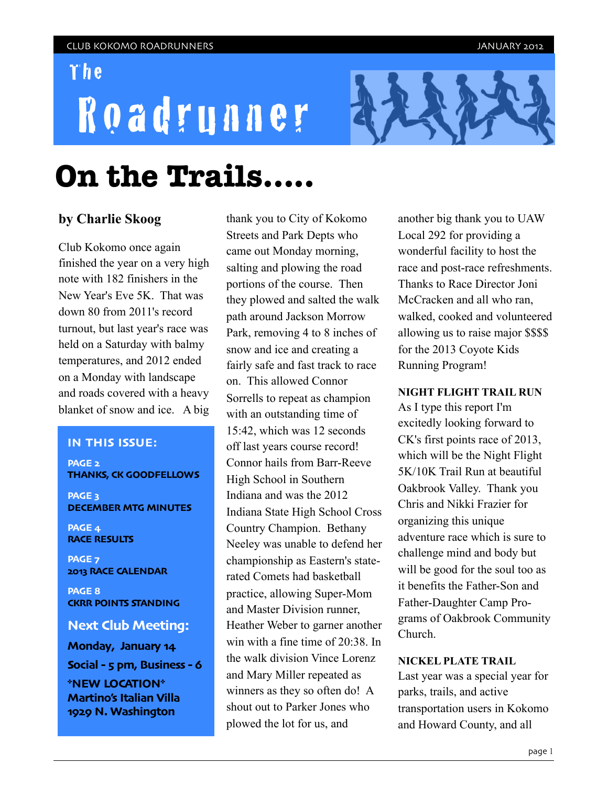## The

# Roadrunner



# **On the Trails.....**

### **by Charlie Skoog**

Club Kokomo once again finished the year on a very high note with 182 finishers in the New Year's Eve 5K. That was down 80 from 2011's record turnout, but last year's race was held on a Saturday with balmy temperatures, and 2012 ended on a Monday with landscape and roads covered with a heavy blanket of snow and ice. A big

#### **IN THIS ISSUE:**

**PAGE 2 THANKS, CK GOODFELLOWS** 

**PAGE 3 DECEMBER MTG MINUTES**

**PAGE 4 RACE RESULTS**

**PAGE 7 2013 RACE CALENDAR**

**PAGE 8 CKRR POINTS STANDING**

#### **Next Club Meeting:**

**Monday, January 14 Social - 5 pm, Business - 6 \*NEW LOCATION\* Martino's Italian Villa 1929 N. Washington**

thank you to City of Kokomo Streets and Park Depts who came out Monday morning, salting and plowing the road portions of the course. Then they plowed and salted the walk path around Jackson Morrow Park, removing 4 to 8 inches of snow and ice and creating a fairly safe and fast track to race on. This allowed Connor Sorrells to repeat as champion with an outstanding time of 15:42, which was 12 seconds off last years course record! Connor hails from Barr-Reeve High School in Southern Indiana and was the 2012 Indiana State High School Cross Country Champion. Bethany Neeley was unable to defend her championship as Eastern's staterated Comets had basketball practice, allowing Super-Mom and Master Division runner, Heather Weber to garner another win with a fine time of 20:38. In the walk division Vince Lorenz and Mary Miller repeated as winners as they so often do! A shout out to Parker Jones who plowed the lot for us, and

another big thank you to UAW Local 292 for providing a wonderful facility to host the race and post-race refreshments. Thanks to Race Director Joni McCracken and all who ran, walked, cooked and volunteered allowing us to raise major \$\$\$\$ for the 2013 Coyote Kids Running Program!

#### **NIGHT FLIGHT TRAIL RUN**

As I type this report I'm excitedly looking forward to CK's first points race of 2013, which will be the Night Flight 5K/10K Trail Run at beautiful Oakbrook Valley. Thank you Chris and Nikki Frazier for organizing this unique adventure race which is sure to challenge mind and body but will be good for the soul too as it benefits the Father-Son and Father-Daughter Camp Programs of Oakbrook Community Church.

#### **NICKEL PLATE TRAIL**

Last year was a special year for parks, trails, and active transportation users in Kokomo and Howard County, and all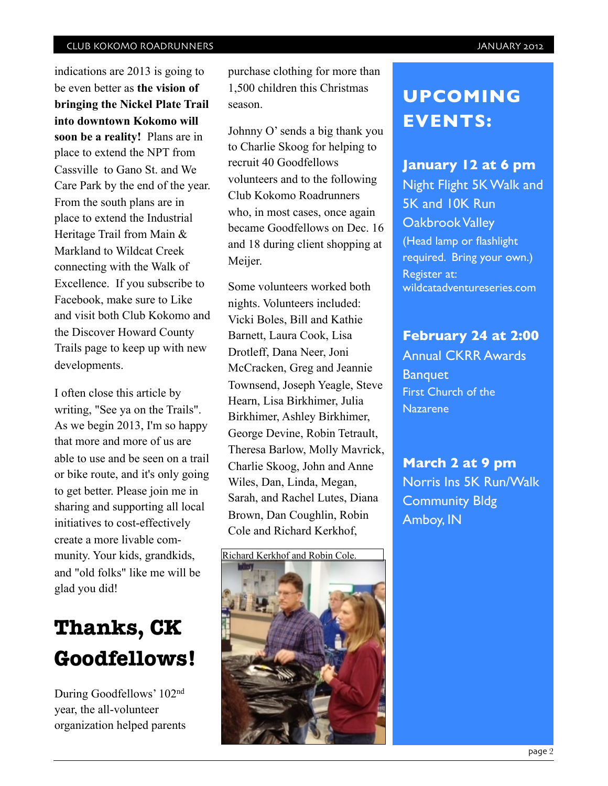indications are 2013 is going to be even better as **the vision of bringing the Nickel Plate Trail into downtown Kokomo will soon be a reality!** Plans are in place to extend the NPT from Cassville to Gano St. and We Care Park by the end of the year. From the south plans are in place to extend the Industrial Heritage Trail from Main & Markland to Wildcat Creek connecting with the Walk of Excellence. If you subscribe to Facebook, make sure to Like and visit both Club Kokomo and the Discover Howard County Trails page to keep up with new developments.

I often close this article by writing, "See ya on the Trails". As we begin 2013, I'm so happy that more and more of us are able to use and be seen on a trail or bike route, and it's only going to get better. Please join me in sharing and supporting all local initiatives to cost-effectively create a more livable community. Your kids, grandkids, and "old folks" like me will be glad you did!

# **Thanks, CK Goodfellows!**

During Goodfellows' 102nd year, the all-volunteer organization helped parents purchase clothing for more than 1,500 children this Christmas season.

Johnny O' sends a big thank you to Charlie Skoog for helping to recruit 40 Goodfellows volunteers and to the following Club Kokomo Roadrunners who, in most cases, once again became Goodfellows on Dec. 16 and 18 during client shopping at Meijer.

Some volunteers worked both nights. Volunteers included: Vicki Boles, Bill and Kathie Barnett, Laura Cook, Lisa Drotleff, Dana Neer, Joni McCracken, Greg and Jeannie Townsend, Joseph Yeagle, Steve Hearn, Lisa Birkhimer, Julia Birkhimer, Ashley Birkhimer, George Devine, Robin Tetrault, Theresa Barlow, Molly Mavrick, Charlie Skoog, John and Anne Wiles, Dan, Linda, Megan, Sarah, and Rachel Lutes, Diana Brown, Dan Coughlin, Robin Cole and Richard Kerkhof,



# **UPCOMING EVENTS:**

### **January 12 at 6 pm**

Night Flight 5K Walk and 5K and 10K Run Oakbrook Valley (Head lamp or flashlight required. Bring your own.) Register at: wildcatadventureseries.com

### **February 24 at 2:00**

Annual CKRR Awards **Banquet** First Church of the Nazarene

**March 2 at 9 pm** Norris Ins 5K Run/Walk Community Bldg Amboy, IN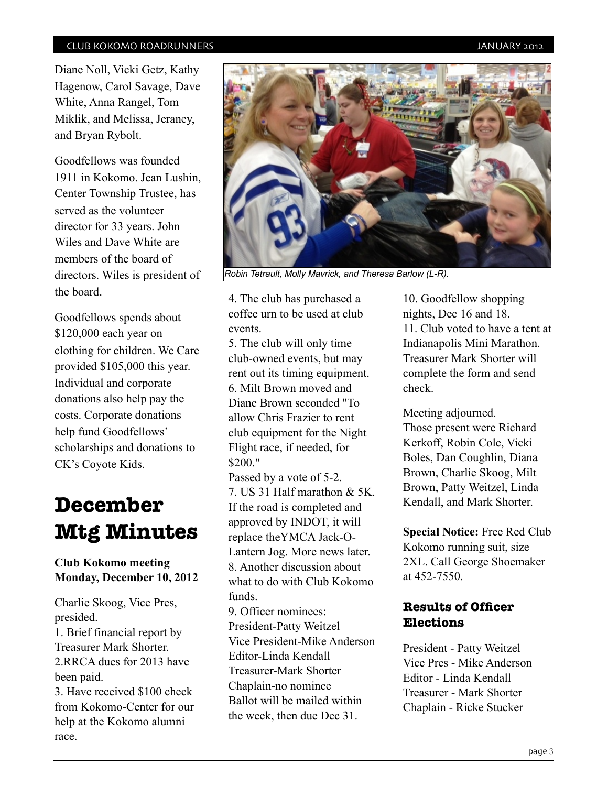Diane Noll, Vicki Getz, Kathy Hagenow, Carol Savage, Dave White, Anna Rangel, Tom Miklik, and Melissa, Jeraney, and Bryan Rybolt.

Goodfellows was founded 1911 in Kokomo. Jean Lushin, Center Township Trustee, has served as the volunteer director for 33 years. John Wiles and Dave White are members of the board of directors. Wiles is president of the board.

Goodfellows spends about \$120,000 each year on clothing for children. We Care provided \$105,000 this year. Individual and corporate donations also help pay the costs. Corporate donations help fund Goodfellows' scholarships and donations to CK's Coyote Kids.

# **December Mtg Minutes**

### **Club Kokomo meeting Monday, December 10, 2012**

Charlie Skoog, Vice Pres, presided. 1. Brief financial report by

Treasurer Mark Shorter. 2.RRCA dues for 2013 have been paid.

3. Have received \$100 check from Kokomo-Center for our help at the Kokomo alumni race.



*Robin Tetrault, Molly Mavrick, and Theresa Barlow (L-R).*

4. The club has purchased a coffee urn to be used at club events.

5. The club will only time club-owned events, but may rent out its timing equipment. 6. Milt Brown moved and Diane Brown seconded "To allow Chris Frazier to rent club equipment for the Night Flight race, if needed, for \$200."

Passed by a vote of 5-2. 7. US 31 Half marathon & 5K. If the road is completed and approved by INDOT, it will replace theYMCA Jack-O-Lantern Jog. More news later. 8. Another discussion about what to do with Club Kokomo funds.

9. Officer nominees: President-Patty Weitzel Vice President-Mike Anderson Editor-Linda Kendall Treasurer-Mark Shorter Chaplain-no nominee Ballot will be mailed within the week, then due Dec 31.

10. Goodfellow shopping nights, Dec 16 and 18. 11. Club voted to have a tent at Indianapolis Mini Marathon. Treasurer Mark Shorter will complete the form and send check.

Meeting adjourned. Those present were Richard Kerkoff, Robin Cole, Vicki Boles, Dan Coughlin, Diana Brown, Charlie Skoog, Milt Brown, Patty Weitzel, Linda Kendall, and Mark Shorter.

**Special Notice:** Free Red Club Kokomo running suit, size 2XL. Call George Shoemaker at 452-7550.

### **Results of Officer Elections**

President - Patty Weitzel Vice Pres - Mike Anderson Editor - Linda Kendall Treasurer - Mark Shorter Chaplain - Ricke Stucker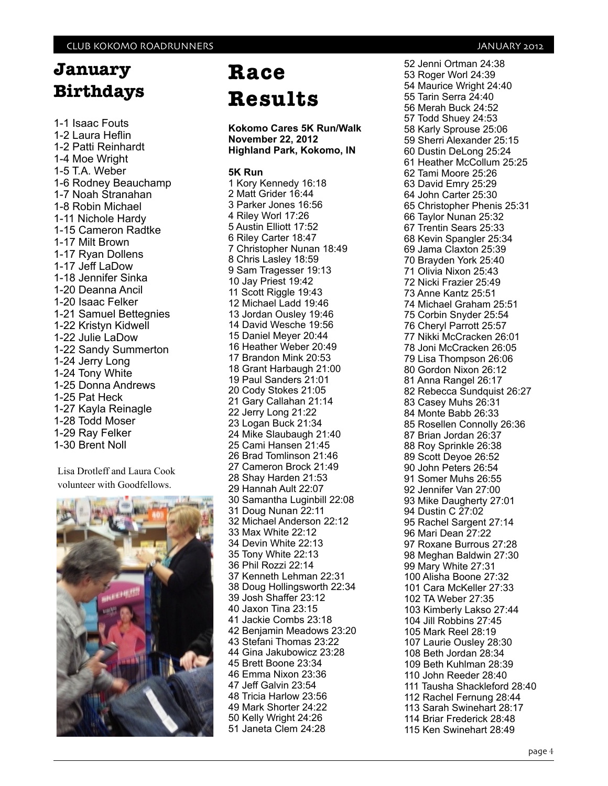# **January Birthdays**

1-1 Isaac Fouts 1-2 Laura Heflin 1-2 Patti Reinhardt 1-4 Moe Wright 1-5 T.A. Weber 1-6 Rodney Beauchamp 1-7 Noah Stranahan 1-8 Robin Michael 1-11 Nichole Hardy 1-15 Cameron Radtke 1-17 Milt Brown 1-17 Ryan Dollens 1-17 Jeff LaDow 1-18 Jennifer Sinka 1-20 Deanna Ancil 1-20 Isaac Felker 1-21 Samuel Bettegnies 1-22 Kristyn Kidwell 1-22 Julie LaDow 1-22 Sandy Summerton 1-24 Jerry Long 1-24 Tony White 1-25 Donna Andrews 1-25 Pat Heck 1-27 Kayla Reinagle 1-28 Todd Moser 1-29 Ray Felker 1-30 Brent Noll

Lisa Drotleff and Laura Cook volunteer with Goodfellows.



# **Race Results**

**Kokomo Cares 5K Run/Walk November 22, 2012 Highland Park, Kokomo, IN**

#### **5K Run**

1 Kory Kennedy 16:18 2 Matt Grider 16:44 3 Parker Jones 16:56 4 Riley Worl 17:26 5 Austin Elliott 17:52 6 Riley Carter 18:47 7 Christopher Nunan 18:49 8 Chris Lasley 18:59 9 Sam Tragesser 19:13 10 Jay Priest 19:42 11 Scott Riggle 19:43 12 Michael Ladd 19:46 13 Jordan Ousley 19:46 14 David Wesche 19:56 15 Daniel Meyer 20:44 16 Heather Weber 20:49 17 Brandon Mink 20:53 18 Grant Harbaugh 21:00 19 Paul Sanders 21:01 20 Cody Stokes 21:05 21 Gary Callahan 21:14 22 Jerry Long 21:22 23 Logan Buck 21:34 24 Mike Slaubaugh 21:40 25 Cami Hansen 21:45 26 Brad Tomlinson 21:46 27 Cameron Brock 21:49 28 Shay Harden 21:53 29 Hannah Ault 22:07 30 Samantha Luginbill 22:08 31 Doug Nunan 22:11 32 Michael Anderson 22:12 33 Max White 22:12 34 Devin White 22:13 35 Tony White 22:13 36 Phil Rozzi 22:14 37 Kenneth Lehman 22:31 38 Doug Hollingsworth 22:34 39 Josh Shaffer 23:12 40 Jaxon Tina 23:15 41 Jackie Combs 23:18 42 Benjamin Meadows 23:20 43 Stefani Thomas 23:22 44 Gina Jakubowicz 23:28 45 Brett Boone 23:34 46 Emma Nixon 23:36 47 Jeff Galvin 23:54 48 Tricia Harlow 23:56 49 Mark Shorter 24:22 50 Kelly Wright 24:26 51 Janeta Clem 24:28

52 Jenni Ortman 24:38 53 Roger Worl 24:39 54 Maurice Wright 24:40 55 Tarin Serra 24:40 56 Merah Buck 24:52 57 Todd Shuey 24:53 58 Karly Sprouse 25:06 59 Sherri Alexander 25:15 60 Dustin DeLong 25:24 61 Heather McCollum 25:25 62 Tami Moore 25:26 63 David Emry 25:29 64 John Carter 25:30 65 Christopher Phenis 25:31 66 Taylor Nunan 25:32 67 Trentin Sears 25:33 68 Kevin Spangler 25:34 69 Jama Claxton 25:39 70 Brayden York 25:40 71 Olivia Nixon 25:43 72 Nicki Frazier 25:49 73 Anne Kantz 25:51 74 Michael Graham 25:51 75 Corbin Snyder 25:54 76 Cheryl Parrott 25:57 77 Nikki McCracken 26:01 78 Joni McCracken 26:05 79 Lisa Thompson 26:06 80 Gordon Nixon 26:12 81 Anna Rangel 26:17 82 Rebecca Sundquist 26:27 83 Casey Muhs 26:31 84 Monte Babb 26:33 85 Rosellen Connolly 26:36 87 Brian Jordan 26:37 88 Roy Sprinkle 26:38 89 Scott Deyoe 26:52 90 John Peters 26:54 91 Somer Muhs 26:55 92 Jennifer Van 27:00 93 Mike Daugherty 27:01 94 Dustin C 27:02 95 Rachel Sargent 27:14 96 Mari Dean 27:22 97 Roxane Burrous 27:28 98 Meghan Baldwin 27:30 99 Mary White 27:31 100 Alisha Boone 27:32 101 Cara McKeller 27:33 102 TA Weber 27:35 103 Kimberly Lakso 27:44 104 Jill Robbins 27:45 105 Mark Reel 28:19 107 Laurie Ousley 28:30 108 Beth Jordan 28:34 109 Beth Kuhlman 28:39 110 John Reeder 28:40 111 Tausha Shackleford 28:40 112 Rachel Fernung 28:44 113 Sarah Swinehart 28:17 114 Briar Frederick 28:48 115 Ken Swinehart 28:49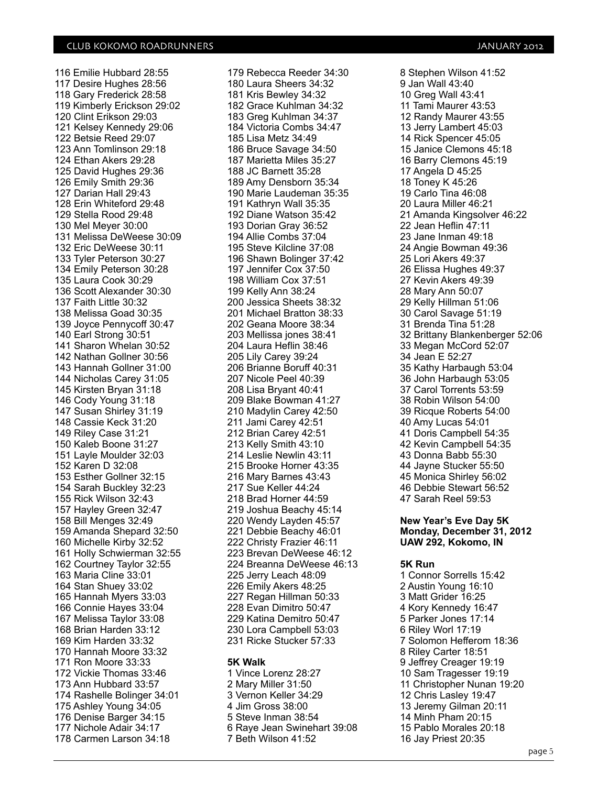116 Emilie Hubbard 28:55 117 Desire Hughes 28:56 118 Gary Frederick 28:58 119 Kimberly Erickson 29:02 120 Clint Erikson 29:03 121 Kelsey Kennedy 29:06 122 Betsie Reed 29:07 123 Ann Tomlinson 29:18 124 Ethan Akers 29:28 125 David Hughes 29:36 126 Emily Smith 29:36 127 Darian Hall 29:43 128 Erin Whiteford 29:48 129 Stella Rood 29:48 130 Mel Meyer 30:00 131 Melissa DeWeese 30:09 132 Eric DeWeese 30:11 133 Tyler Peterson 30:27 134 Emily Peterson 30:28 135 Laura Cook 30:29 136 Scott Alexander 30:30 137 Faith Little 30:32 138 Melissa Goad 30:35 139 Joyce Pennycoff 30:47 140 Earl Strong 30:51 141 Sharon Whelan 30:52 142 Nathan Gollner 30:56 143 Hannah Gollner 31:00 144 Nicholas Carey 31:05 145 Kirsten Bryan 31:18 146 Cody Young 31:18 147 Susan Shirley 31:19 148 Cassie Keck 31:20 149 Riley Case 31:21 150 Kaleb Boone 31:27 151 Layle Moulder 32:03 152 Karen D 32:08 153 Esther Gollner 32:15 154 Sarah Buckley 32:23 155 Rick Wilson 32:43 157 Hayley Green 32:47 158 Bill Menges 32:49 159 Amanda Shepard 32:50 160 Michelle Kirby 32:52 161 Holly Schwierman 32:55 162 Courtney Taylor 32:55 163 Maria Cline 33:01 164 Stan Shuey 33:02 165 Hannah Myers 33:03 166 Connie Hayes 33:04 167 Melissa Taylor 33:08 168 Brian Harden 33:12 169 Kim Harden 33:32 170 Hannah Moore 33:32 171 Ron Moore 33:33 172 Vickie Thomas 33:46 173 Ann Hubbard 33:57 174 Rashelle Bolinger 34:01 175 Ashley Young 34:05 176 Denise Barger 34:15 177 Nichole Adair 34:17 178 Carmen Larson 34:18

179 Rebecca Reeder 34:30 180 Laura Sheers 34:32 181 Kris Bewley 34:32 182 Grace Kuhlman 34:32 183 Greg Kuhlman 34:37 184 Victoria Combs 34:47 185 Lisa Metz 34:49 186 Bruce Savage 34:50 187 Marietta Miles 35:27 188 JC Barnett 35:28 189 Amy Densborn 35:34 190 Marie Laudeman 35:35 191 Kathryn Wall 35:35 192 Diane Watson 35:42 193 Dorian Gray 36:52 194 Allie Combs 37:04 195 Steve Kilcline 37:08 196 Shawn Bolinger 37:42 197 Jennifer Cox 37:50 198 William Cox 37:51 199 Kelly Ann 38:24 200 Jessica Sheets 38:32 201 Michael Bratton 38:33 202 Geana Moore 38:34 203 Mellissa jones 38:41 204 Laura Heflin 38:46 205 Lily Carey 39:24 206 Brianne Boruff 40:31 207 Nicole Peel 40:39 208 Lisa Bryant 40:41 209 Blake Bowman 41:27 210 Madylin Carey 42:50 211 Jami Carey 42:51 212 Brian Carey 42:51 213 Kelly Smith 43:10 214 Leslie Newlin 43:11 215 Brooke Horner 43:35 216 Mary Barnes 43:43 217 Sue Keller 44:24 218 Brad Horner 44:59 219 Joshua Beachy 45:14 220 Wendy Layden 45:57 221 Debbie Beachy 46:01 222 Christy Frazier 46:11 223 Brevan DeWeese 46:12 224 Breanna DeWeese 46:13 225 Jerry Leach 48:09 226 Emily Akers 48:25 227 Regan Hillman 50:33 228 Evan Dimitro 50:47 229 Katina Demitro 50:47 230 Lora Campbell 53:03 231 Ricke Stucker 57:33

#### **5K Walk**

1 Vince Lorenz 28:27 2 Mary Miller 31:50 3 Vernon Keller 34:29 4 Jim Gross 38:00 5 Steve Inman 38:54 6 Raye Jean Swinehart 39:08 7 Beth Wilson 41:52

8 Stephen Wilson 41:52 9 Jan Wall 43:40 10 Greg Wall 43:41 11 Tami Maurer 43:53 12 Randy Maurer 43:55 13 Jerry Lambert 45:03 14 Rick Spencer 45:05 15 Janice Clemons 45:18 16 Barry Clemons 45:19 17 Angela D 45:25 18 Toney K 45:26 19 Carlo Tina 46:08 20 Laura Miller 46:21 21 Amanda Kingsolver 46:22 22 Jean Heflin 47:11 23 Jane Inman 49:18 24 Angie Bowman 49:36 25 Lori Akers 49:37 26 Elissa Hughes 49:37 27 Kevin Akers 49:39 28 Mary Ann 50:07 29 Kelly Hillman 51:06 30 Carol Savage 51:19 31 Brenda Tina 51:28 32 Brittany Blankenberger 52:06 33 Megan McCord 52:07 34 Jean E 52:27 35 Kathy Harbaugh 53:04 36 John Harbaugh 53:05 37 Carol Torrents 53:59 38 Robin Wilson 54:00 39 Ricque Roberts 54:00 40 Amy Lucas 54:01 41 Doris Campbell 54:35 42 Kevin Campbell 54:35 43 Donna Babb 55:30 44 Jayne Stucker 55:50 45 Monica Shirley 56:02 46 Debbie Stewart 56:52 47 Sarah Reel 59:53

#### **New Year's Eve Day 5K Monday, December 31, 2012 UAW 292, Kokomo, IN**

#### **5K Run**

1 Connor Sorrells 15:42 2 Austin Young 16:10 3 Matt Grider 16:25 4 Kory Kennedy 16:47 5 Parker Jones 17:14 6 Riley Worl 17:19 7 Solomon Hefferom 18:36 8 Riley Carter 18:51 9 Jeffrey Creager 19:19 10 Sam Tragesser 19:19 11 Christopher Nunan 19:20 12 Chris Lasley 19:47 13 Jeremy Gilman 20:11 14 Minh Pham 20:15 15 Pablo Morales 20:18 16 Jay Priest 20:35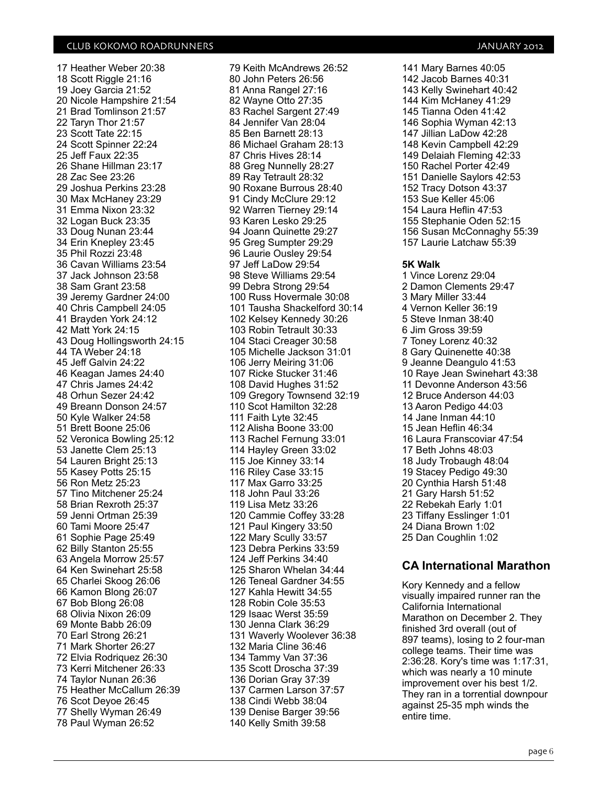17 Heather Weber 20:38 18 Scott Riggle 21:16 19 Joey Garcia 21:52 20 Nicole Hampshire 21:54 21 Brad Tomlinson 21:57 22 Taryn Thor 21:57 23 Scott Tate 22:15 24 Scott Spinner 22:24 25 Jeff Faux 22:35 26 Shane Hillman 23:17 28 Zac See 23:26 29 Joshua Perkins 23:28 30 Max McHaney 23:29 31 Emma Nixon 23:32 32 Logan Buck 23:35 33 Doug Nunan 23:44 34 Erin Knepley 23:45 35 Phil Rozzi 23:48 36 Cavan Williams 23:54 37 Jack Johnson 23:58 38 Sam Grant 23:58 39 Jeremy Gardner 24:00 40 Chris Campbell 24:05 41 Brayden York 24:12 42 Matt York 24:15 43 Doug Hollingsworth 24:15 44 TA Weber 24:18 45 Jeff Galvin 24:22 46 Keagan James 24:40 47 Chris James 24:42 48 Orhun Sezer 24:42 49 Breann Donson 24:57 50 Kyle Walker 24:58 51 Brett Boone 25:06 52 Veronica Bowling 25:12 53 Janette Clem 25:13 54 Lauren Bright 25:13 55 Kasey Potts 25:15 56 Ron Metz 25:23 57 Tino Mitchener 25:24 58 Brian Rexroth 25:37 59 Jenni Ortman 25:39 60 Tami Moore 25:47 61 Sophie Page 25:49 62 Billy Stanton 25:55 63 Angela Morrow 25:57 64 Ken Swinehart 25:58 65 Charlei Skoog 26:06 66 Kamon Blong 26:07 67 Bob Blong 26:08 68 Olivia Nixon 26:09 69 Monte Babb 26:09 70 Earl Strong 26:21 71 Mark Shorter 26:27 72 Elvia Rodriquez 26:30 73 Kerri Mitchener 26:33 74 Taylor Nunan 26:36 75 Heather McCallum 26:39 76 Scot Deyoe 26:45 77 Shelly Wyman 26:49 78 Paul Wyman 26:52

79 Keith McAndrews 26:52 80 John Peters 26:56 81 Anna Rangel 27:16 82 Wayne Otto 27:35 83 Rachel Sargent 27:49 84 Jennifer Van 28:04 85 Ben Barnett 28:13 86 Michael Graham 28:13 87 Chris Hives 28:14 88 Greg Nunnelly 28:27 89 Ray Tetrault 28:32 90 Roxane Burrous 28:40 91 Cindy McClure 29:12 92 Warren Tierney 29:14 93 Karen Lesko 29:25 94 Joann Quinette 29:27 95 Greg Sumpter 29:29 96 Laurie Ousley 29:54 97 Jeff LaDow 29:54 98 Steve Williams 29:54 99 Debra Strong 29:54 100 Russ Hovermale 30:08 101 Tausha Shackelford 30:14 102 Kelsey Kennedy 30:26 103 Robin Tetrault 30:33 104 Staci Creager 30:58 105 Michelle Jackson 31:01 106 Jerry Meiring 31:06 107 Ricke Stucker 31:46 108 David Hughes 31:52 109 Gregory Townsend 32:19 110 Scot Hamilton 32:28 111 Faith Lyte 32:45 112 Alisha Boone 33:00 113 Rachel Fernung 33:01 114 Hayley Green 33:02 115 Joe Kinney 33:14 116 Riley Case 33:15 117 Max Garro 33:25 118 John Paul 33:26 119 Lisa Metz 33:26 120 Cammie Coffey 33:28 121 Paul Kingery 33:50 122 Mary Scully 33:57 123 Debra Perkins 33:59 124 Jeff Perkins 34:40 125 Sharon Whelan 34:44 126 Teneal Gardner 34:55 127 Kahla Hewitt 34:55 128 Robin Cole 35:53 129 Isaac Werst 35:59 130 Jenna Clark 36:29 131 Waverly Woolever 36:38 132 Maria Cline 36:46 134 Tammy Van 37:36 135 Scott Droscha 37:39 136 Dorian Gray 37:39 137 Carmen Larson 37:57 138 Cindi Webb 38:04 139 Denise Barger 39:56 140 Kelly Smith 39:58

141 Mary Barnes 40:05 142 Jacob Barnes 40:31 143 Kelly Swinehart 40:42 144 Kim McHaney 41:29 145 Tianna Oden 41:42 146 Sophia Wyman 42:13 147 Jillian LaDow 42:28 148 Kevin Campbell 42:29 149 Delaiah Fleming 42:33 150 Rachel Porter 42:49 151 Danielle Saylors 42:53 152 Tracy Dotson 43:37 153 Sue Keller 45:06 154 Laura Heflin 47:53 155 Stephanie Oden 52:15 156 Susan McConnaghy 55:39 157 Laurie Latchaw 55:39 **5K Walk** 1 Vince Lorenz 29:04 2 Damon Clements 29:47 3 Mary Miller 33:44 4 Vernon Keller 36:19 5 Steve Inman 38:40 6 Jim Gross 39:59 7 Toney Lorenz 40:32 8 Gary Quinenette 40:38 9 Jeanne Deangulo 41:53 10 Raye Jean Swinehart 43:38 11 Devonne Anderson 43:56 12 Bruce Anderson 44:03 13 Aaron Pedigo 44:03 14 Jane Inman 44:10 15 Jean Heflin 46:34 16 Laura Franscoviar 47:54 17 Beth Johns 48:03 18 Judy Trobaugh 48:04 19 Stacey Pedigo 49:30 20 Cynthia Harsh 51:48 21 Gary Harsh 51:52 22 Rebekah Early 1:01 23 Tiffany Esslinger 1:01 24 Diana Brown 1:02 25 Dan Coughlin 1:02

#### **CA International Marathon**

Kory Kennedy and a fellow visually impaired runner ran the California International Marathon on December 2. They finished 3rd overall (out of 897 teams), losing to 2 four-man college teams. Their time was 2:36:28. Kory's time was 1:17:31, which was nearly a 10 minute improvement over his best 1/2. They ran in a torrential downpour against 25-35 mph winds the entire time.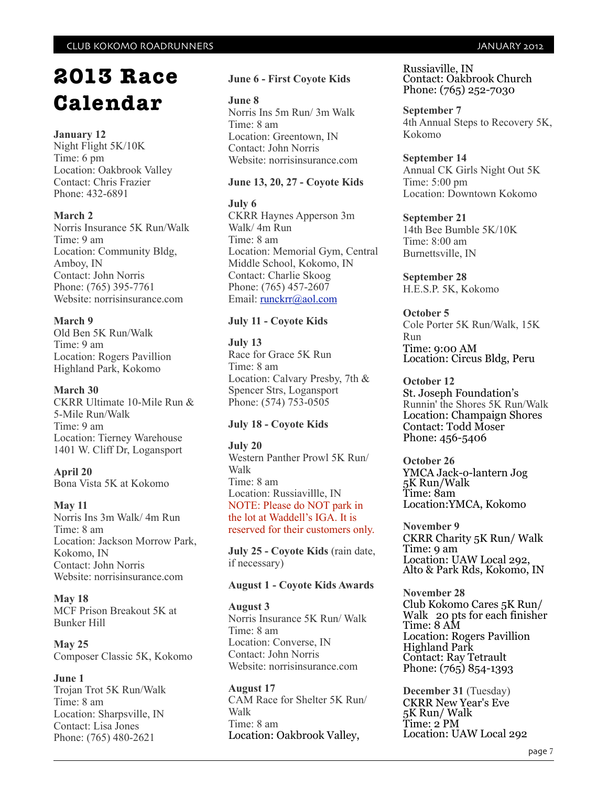# **2013 Race Calendar**

#### **January 12**

Night Flight 5K/10K Time: 6 pm Location: Oakbrook Valley Contact: Chris Frazier Phone: 432-6891

#### **March 2**

Norris Insurance 5K Run/Walk Time: 9 am Location: Community Bldg, Amboy, IN Contact: John Norris Phone: (765) 395-7761 Website: norrisinsurance.com

#### **March 9**

Old Ben 5K Run/Walk Time: 9 am Location: Rogers Pavillion Highland Park, Kokomo

#### **March 30**

CKRR Ultimate 10-Mile Run & 5-Mile Run/Walk Time: 9 am Location: Tierney Warehouse 1401 W. Cliff Dr, Logansport

### **April 20**

Bona Vista 5K at Kokomo

#### **May 11**

Norris Ins 3m Walk/ 4m Run Time: 8 am Location: Jackson Morrow Park, Kokomo, IN Contact: John Norris Website: norrisinsurance.com

#### **May 18**  MCF Prison Breakout 5K at

Bunker Hill

**May 25** Composer Classic 5K, Kokomo

#### **June 1**

Trojan Trot 5K Run/Walk Time: 8 am Location: Sharpsville, IN Contact: Lisa Jones Phone: (765) 480-2621

#### **June 6 - First Coyote Kids**

**June 8** Norris Ins 5m Run/ 3m Walk Time: 8 am Location: Greentown, IN Contact: John Norris Website: norrisinsurance.com

#### **June 13, 20, 27 - Coyote Kids**

#### **July 6**

CKRR Haynes Apperson 3m Walk/ 4m Run Time: 8 am Location: Memorial Gym, Central Middle School, Kokomo, IN Contact: Charlie Skoog Phone: (765) 457-2607 Email: [runckrr@aol.com](mailto:runckrr@aol.com)

#### **July 11 - Coyote Kids**

**July 13**  Race for Grace 5K Run Time: 8 am Location: Calvary Presby, 7th & Spencer Strs, Logansport Phone: (574) 753-0505

#### **July 18 - Coyote Kids**

**July 20** Western Panther Prowl 5K Run/ Walk Time: 8 am Location: Russiavillle, IN NOTE: Please do NOT park in the lot at Waddell's IGA. It is reserved for their customers only.

**July 25 - Coyote Kids** (rain date, if necessary)

#### **August 1 - Coyote Kids Awards**

**August 3** Norris Insurance 5K Run/ Walk Time: 8 am Location: Converse, IN Contact: John Norris Website: norrisinsurance.com

**August 17** CAM Race for Shelter 5K Run/ Walk Time: 8 am Location: Oakbrook Valley,

Russiaville, IN Contact: Oakbrook Church Phone: (765) 252-7030

**September 7** 4th Annual Steps to Recovery 5K, Kokomo

#### **September 14** Annual CK Girls Night Out 5K Time: 5:00 pm Location: Downtown Kokomo

#### **September 21** 14th Bee Bumble 5K/10K Time: 8:00 am Burnettsville, IN

**September 28** H.E.S.P. 5K, Kokomo

**October 5** Cole Porter 5K Run/Walk, 15K Run Time: 9:00 AM Location: Circus Bldg, Peru

#### **October 12**

St. Joseph Foundation's Runnin' the Shores 5K Run/Walk Location: Champaign Shores Contact: Todd Moser Phone: 456-5406

**October 26** YMCA Jack-o-lantern Jog 5K Run/Walk Time: 8am Location:YMCA, Kokomo

**November 9** CKRR Charity 5K Run/ Walk Time: 9 am Location: UAW Local 292, Alto & Park Rds, Kokomo, IN

**November 28** Club Kokomo Cares 5K Run/ Walk 20 pts for each finisher Time: 8 AM Location: Rogers Pavillion Highland Park Contact: Ray Tetrault Phone: (765) 854-1393

**December 31** (Tuesday) CKRR New Year's Eve 5K Run/ Walk Time: 2 PM Location: UAW Local 292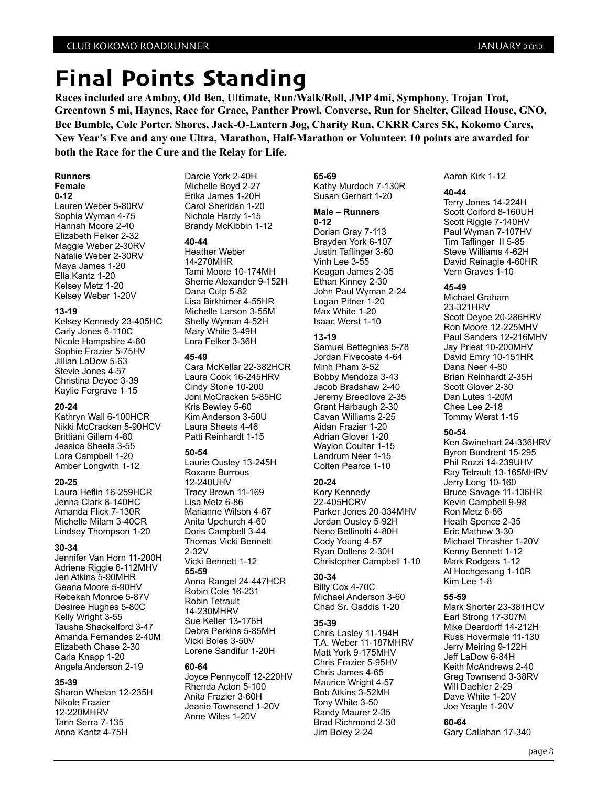# **Final Points Standing**

**Races included are Amboy, Old Ben, Ultimate, Run/Walk/Roll, JMP 4mi, Symphony, Trojan Trot, Greentown 5 mi, Haynes, Race for Grace, Panther Prowl, Converse, Run for Shelter, Gilead House, GNO, Bee Bumble, Cole Porter, Shores, Jack-O-Lantern Jog, Charity Run, CKRR Cares 5K, Kokomo Cares, New Year's Eve and any one Ultra, Marathon, Half-Marathon or Volunteer. 10 points are awarded for both the Race for the Cure and the Relay for Life.**

#### **Runners Female**

**0-12** Lauren Weber 5-80RV Sophia Wyman 4-75 Hannah Moore 2-40 Elizabeth Felker 2-32 Maggie Weber 2-30RV Natalie Weber 2-30RV Maya James 1-20 Ella Kantz 1-20 Kelsey Metz 1-20 Kelsey Weber 1-20V

#### **13-19**

Kelsey Kennedy 23-405HC Carly Jones 6-110C Nicole Hampshire 4-80 Sophie Frazier 5-75HV Jillian LaDow 5-63 Stevie Jones 4-57 Christina Deyoe 3-39 Kaylie Forgrave 1-15

#### **20-24**

Kathryn Wall 6-100HCR Nikki McCracken 5-90HCV Brittiani Gillem 4-80 Jessica Sheets 3-55 Lora Campbell 1-20 Amber Longwith 1-12

#### **20-25**

Laura Heflin 16-259HCR Jenna Clark 8-140HC Amanda Flick 7-130R Michelle Milam 3-40CR Lindsey Thompson 1-20

#### **30-34**

Jennifer Van Horn 11-200H Adriene Riggle 6-112MHV Jen Atkins 5-90MHR Geana Moore 5-90HV Rebekah Monroe 5-87V Desiree Hughes 5-80C Kelly Wright 3-55 Tausha Shackelford 3-47 Amanda Fernandes 2-40M Elizabeth Chase 2-30 Carla Knapp 1-20 Angela Anderson 2-19

#### **35-39**

Sharon Whelan 12-235H Nikole Frazier 12-220MHRV Tarin Serra 7-135 Anna Kantz 4-75H

Darcie York 2-40H Michelle Boyd 2-27 Erika James 1-20H Carol Sheridan 1-20 Nichole Hardy 1-15 Brandy McKibbin 1-12

#### **40-44**

Heather Weber 14-270MHR Tami Moore 10-174MH Sherrie Alexander 9-152H Dana Culp 5-82 Lisa Birkhimer 4-55HR Michelle Larson 3-55M Shelly Wyman 4-52H Mary White 3-49H Lora Felker 3-36H

#### **45-49**

Cara McKellar 22-382HCR Laura Cook 16-245HRV Cindy Stone 10-200 Joni McCracken 5-85HC Kris Bewley 5-60 Kim Anderson 3-50U Laura Sheets 4-46 Patti Reinhardt 1-15

#### **50-54**

Laurie Ousley 13-245H Roxane Burrous 12-240UHV Tracy Brown 11-169 Lisa Metz 6-86 Marianne Wilson 4-67 Anita Upchurch 4-60 Doris Campbell 3-44 Thomas Vicki Bennett 2-32V Vicki Bennett 1-12 **55-59** Anna Rangel 24-447HCR Robin Cole 16-231 Robin Tetrault 14-230MHRV Sue Keller 13-176H Debra Perkins 5-85MH Vicki Boles 3-50V Lorene Sandifur 1-20H

#### **60-64**

Joyce Pennycoff 12-220HV Rhenda Acton 5-100 Anita Frazier 3-60H Jeanie Townsend 1-20V Anne Wiles 1-20V

**65-69** Kathy Murdoch 7-130R Susan Gerhart 1-20

#### **Male – Runners**

**0-12** Dorian Gray 7-113 Brayden York 6-107 Justin Taflinger 3-60 Vinh Lee 3-55 Keagan James 2-35 Ethan Kinney 2-30 John Paul Wyman 2-24 Logan Pitner 1-20 Max White 1-20 Isaac Werst 1-10

#### **13-19**

Samuel Bettegnies 5-78 Jordan Fivecoate 4-64 Minh Pham 3-52 Bobby Mendoza 3-43 Jacob Bradshaw 2-40 Jeremy Breedlove 2-35 Grant Harbaugh 2-30 Cavan Williams 2-25 Aidan Frazier 1-20 Adrian Glover 1-20 Waylon Coulter 1-15 Landrum Neer 1-15 Colten Pearce 1-10

#### **20-24**

Kory Kennedy 22-405HCRV Parker Jones 20-334MHV Jordan Ousley 5-92H Neno Bellinotti 4-80H Cody Young 4-57 Ryan Dollens 2-30H Christopher Campbell 1-10

#### **30-34**

Billy Cox 4-70C Michael Anderson 3-60 Chad Sr. Gaddis 1-20

#### **35-39**

Chris Lasley 11-194H T.A. Weber 11-187MHRV Matt York 9-175MHV Chris Frazier 5-95HV Chris James 4-65 Maurice Wright 4-57 Bob Atkins 3-52MH Tony White 3-50 Randy Maurer 2-35 Brad Richmond 2-30 Jim Boley 2-24

Aaron Kirk 1-12

#### **40-44**

Terry Jones 14-224H Scott Colford 8-160UH Scott Riggle 7-140HV Paul Wyman 7-107HV Tim Taflinger II 5-85 Steve Williams 4-62H David Reinagle 4-60HR Vern Graves 1-10

#### **45-49**

Michael Graham 23-321HRV Scott Deyoe 20-286HRV Ron Moore 12-225MHV Paul Sanders 12-216MHV Jay Priest 10-200MHV David Emry 10-151HR Dana Neer 4-80 Brian Reinhardt 2-35H Scott Glover 2-30 Dan Lutes 1-20M Chee Lee 2-18 Tommy Werst 1-15

#### **50-54**

Ken Swinehart 24-336HRV Byron Bundrent 15-295 Phil Rozzi 14-239UHV Ray Tetrault 13-165MHRV Jerry Long 10-160 Bruce Savage 11-136HR Kevin Campbell 9-98 Ron Metz 6-86 Heath Spence 2-35 Eric Mathew 3-30 Michael Thrasher 1-20V Kenny Bennett 1-12 Mark Rodgers 1-12 Al Hochgesang 1-10R Kim Lee 1-8

#### **55-59**

Mark Shorter 23-381HCV Earl Strong 17-307M Mike Deardorff 14-212H Russ Hovermale 11-130 Jerry Meiring 9-122H Jeff LaDow 6-84H Keith McAndrews 2-40 Greg Townsend 3-38RV Will Daehler 2-29 Dave White 1-20V Joe Yeagle 1-20V

#### **60-64**

Gary Callahan 17-340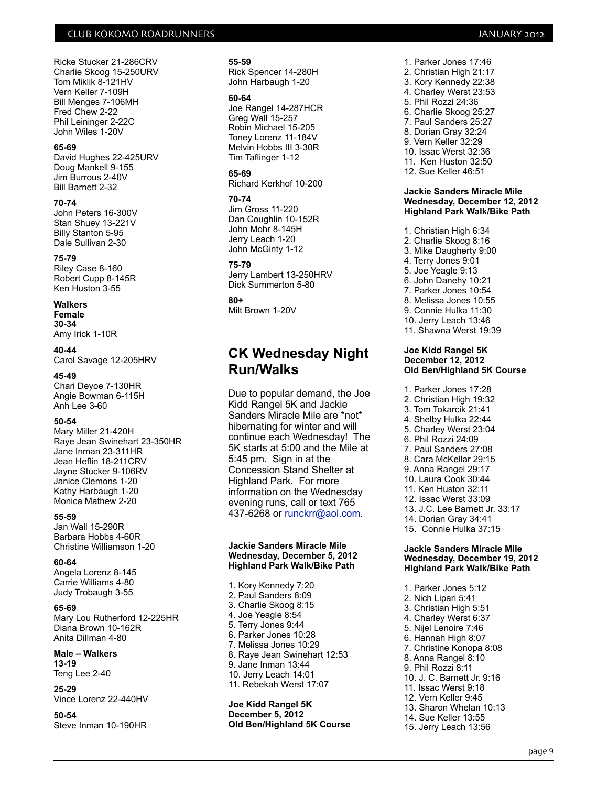Ricke Stucker 21-286CRV Charlie Skoog 15-250URV Tom Miklik 8-121HV Vern Keller 7-109H Bill Menges 7-106MH Fred Chew 2-22 Phil Leininger 2-22C John Wiles 1-20V

#### **65-69**

David Hughes 22-425URV Doug Mankell 9-155 Jim Burrous 2-40V Bill Barnett 2-32

#### **70-74**

John Peters 16-300V Stan Shuey 13-221V Billy Stanton 5-95 Dale Sullivan 2-30

#### **75-79**

Riley Case 8-160 Robert Cupp 8-145R Ken Huston 3-55

#### **Walkers**

**Female 30-34** Amy Irick 1-10R

#### **40-44**

Carol Savage 12-205HRV

#### **45-49**

Chari Deyoe 7-130HR Angie Bowman 6-115H Anh Lee 3-60

#### **50-54**

Mary Miller 21-420H Raye Jean Swinehart 23-350HR Jane Inman 23-311HR Jean Heflin 18-211CRV Jayne Stucker 9-106RV Janice Clemons 1-20 Kathy Harbaugh 1-20 Monica Mathew 2-20

#### **55-59**

Jan Wall 15-290R Barbara Hobbs 4-60R Christine Williamson 1-20

#### **60-64**

Angela Lorenz 8-145 Carrie Williams 4-80 Judy Trobaugh 3-55

#### **65-69**

Mary Lou Rutherford 12-225HR Diana Brown 10-162R Anita Dillman 4-80

#### **Male – Walkers 13-19**

Teng Lee 2-40

**25-29** Vince Lorenz 22-440HV

#### **50-54** Steve Inman 10-190HR

#### **55-59**

Rick Spencer 14-280H John Harbaugh 1-20

#### **60-64**

Joe Rangel 14-287HCR Greg Wall 15-257 Robin Michael 15-205 Toney Lorenz 11-184V Melvin Hobbs III 3-30R Tim Taflinger 1-12

#### **65-69**

Richard Kerkhof 10-200

#### **70-74**

Jim Gross 11-220 Dan Coughlin 10-152R John Mohr 8-145H Jerry Leach 1-20 John McGinty 1-12

#### **75-79**

Jerry Lambert 13-250HRV Dick Summerton 5-80

#### **80+**

Milt Brown 1-20V

### **CK Wednesday Night Run/Walks**

Due to popular demand, the Joe Kidd Rangel 5K and Jackie Sanders Miracle Mile are \*not\* hibernating for winter and will continue each Wednesday! The 5K starts at 5:00 and the Mile at 5:45 pm. Sign in at the Concession Stand Shelter at Highland Park. For more information on the Wednesday evening runs, call or text 765 437-6268 or [runckrr@aol.com.](mailto:runckrr@aol.com)

#### **Jackie Sanders Miracle Mile Wednesday, December 5, 2012 Highland Park Walk/Bike Path**

1. Kory Kennedy 7:20 2. Paul Sanders 8:09 3. Charlie Skoog 8:15 4. Joe Yeagle 8:54 5. Terry Jones 9:44 6. Parker Jones 10:28 7. Melissa Jones 10:29 8. Raye Jean Swinehart 12:53 9. Jane Inman 13:44 10. Jerry Leach 14:01 11. Rebekah Werst 17:07

#### **Joe Kidd Rangel 5K December 5, 2012 Old Ben/Highland 5K Course**

1. Parker Jones 17:46 2. Christian High 21:17 3. Kory Kennedy 22:38 4. Charley Werst 23:53 5. Phil Rozzi 24:36 6. Charlie Skoog 25:27 7. Paul Sanders 25:27 8. Dorian Gray 32:24 9. Vern Keller 32:29 10. Issac Werst 32:36 11. Ken Huston 32:50 12. Sue Keller 46:51

#### **Jackie Sanders Miracle Mile Wednesday, December 12, 2012 Highland Park Walk/Bike Path**

- 1. Christian High 6:34
- 2. Charlie Skoog 8:16
- 3. Mike Daugherty 9:00
- 4. Terry Jones 9:01
- 5. Joe Yeagle 9:13
- 6. John Danehy 10:21 7. Parker Jones 10:54
- 8. Melissa Jones 10:55
- 9. Connie Hulka 11:30
- 10. Jerry Leach 13:46
- 11. Shawna Werst 19:39

#### **Joe Kidd Rangel 5K December 12, 2012 Old Ben/Highland 5K Course**

- 1. Parker Jones 17:28
- 2. Christian High 19:32
- 3. Tom Tokarcik 21:41
- 4. Shelby Hulka 22:44
- 5. Charley Werst 23:04
- 6. Phil Rozzi 24:09
- 7. Paul Sanders 27:08
- 8. Cara McKellar 29:15 9. Anna Rangel 29:17
- 10. Laura Cook 30:44
- 11. Ken Huston 32:11
- 12. Issac Werst 33:09
- 13. J.C. Lee Barnett Jr. 33:17
- 14. Dorian Gray 34:41
- 15. Connie Hulka 37:15

#### **Jackie Sanders Miracle Mile Wednesday, December 19, 2012 Highland Park Walk/Bike Path**

1. Parker Jones 5:12 2. Nich Lipari 5:41 3. Christian High 5:51 4. Charley Werst 6:37 5. Nijel Lenoire 7:46 6. Hannah High 8:07 7. Christine Konopa 8:08 8. Anna Rangel 8:10 9. Phil Rozzi 8:11 10. J. C. Barnett Jr. 9:16 11. Issac Werst 9:18 12. Vern Keller 9:45 13. Sharon Whelan 10:13 14. Sue Keller 13:55

15. Jerry Leach 13:56